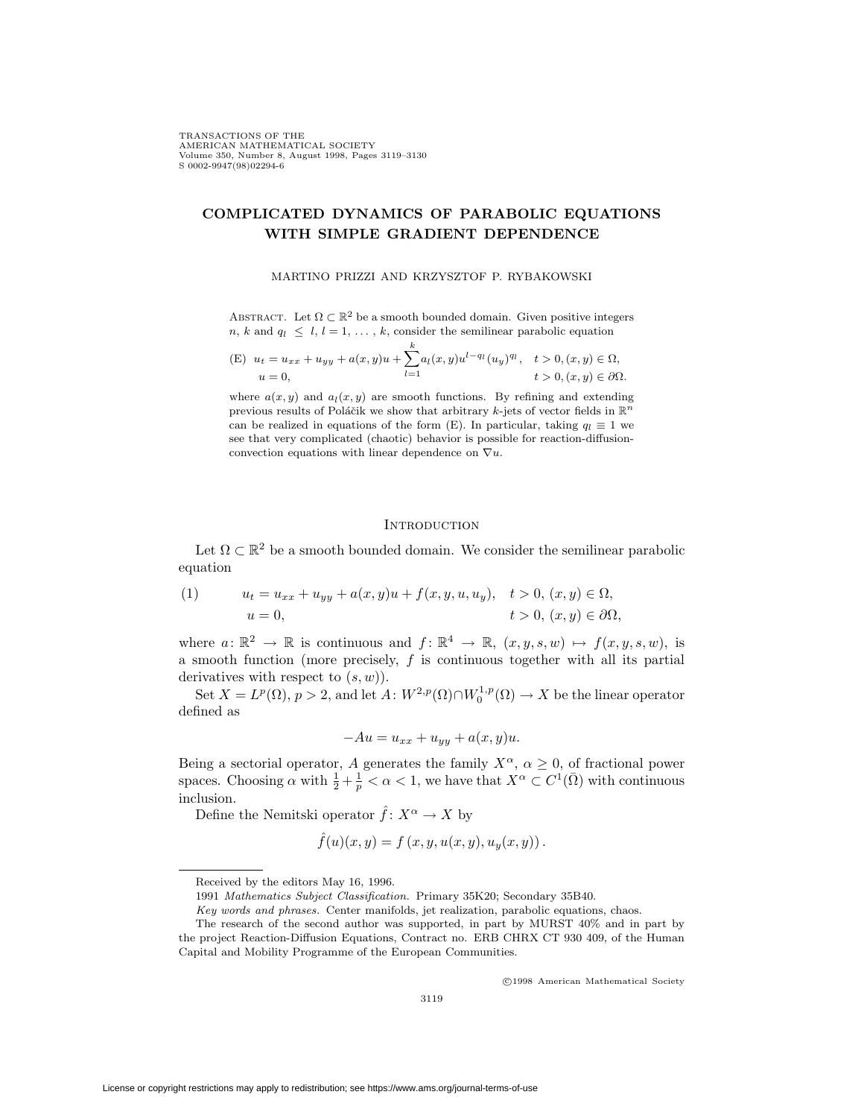# **COMPLICATED DYNAMICS OF PARABOLIC EQUATIONS WITH SIMPLE GRADIENT DEPENDENCE**

## MARTINO PRIZZI AND KRZYSZTOF P. RYBAKOWSKI

ABSTRACT. Let  $\Omega \subset \mathbb{R}^2$  be a smooth bounded domain. Given positive integers *n*, *k* and  $q_l \leq l, l = 1, \ldots, k$ , consider the semilinear parabolic equation

(E) 
$$
u_t = u_{xx} + u_{yy} + a(x, y)u + \sum_{l=1}^k a_l(x, y)u^{l-q_l}(u_y)^{q_l}, \quad t > 0, (x, y) \in \Omega,
$$
  
\n $u = 0, \qquad t > 0, (x, y) \in \partial\Omega.$ 

where  $a(x, y)$  and  $a_l(x, y)$  are smooth functions. By refining and extending previous results of Poláčik we show that arbitrary *k*-jets of vector fields in  $\mathbb{R}^n$ can be realized in equations of the form (E). In particular, taking  $q_l \equiv 1$  we see that very complicated (chaotic) behavior is possible for reaction-diffusionconvection equations with linear dependence on *∇u*.

### **INTRODUCTION**

Let  $\Omega \subset \mathbb{R}^2$  be a smooth bounded domain. We consider the semilinear parabolic equation

(1) 
$$
u_t = u_{xx} + u_{yy} + a(x, y)u + f(x, y, u, u_y), \quad t > 0, (x, y) \in \Omega, u = 0, \quad t > 0, (x, y) \in \partial\Omega,
$$

where  $a: \mathbb{R}^2 \to \mathbb{R}$  is continuous and  $f: \mathbb{R}^4 \to \mathbb{R}$ ,  $(x, y, s, w) \mapsto f(x, y, s, w)$ , is a smooth function (more precisely, *f* is continuous together with all its partial derivatives with respect to (*s, w*)).

Set  $X = L^p(\Omega)$ ,  $p > 2$ , and let  $A: W^{2,p}(\Omega) \cap W_0^{1,p}(\Omega) \to X$  be the linear operator defined as

$$
-Au = u_{xx} + u_{yy} + a(x, y)u.
$$

Being a sectorial operator, *A* generates the family  $X^{\alpha}$ ,  $\alpha \geq 0$ , of fractional power spaces. Choosing  $\alpha$  with  $\frac{1}{2} + \frac{1}{p} < \alpha < 1$ , we have that  $X^{\alpha} \subset C^{1}(\overline{\Omega})$  with continuous inclusion.

Define the Nemitski operator  $\hat{f}: X^{\alpha} \to X$  by

$$
\hat{f}(u)(x, y) = f(x, y, u(x, y), u_y(x, y)).
$$

<sup>c</sup> 1998 American Mathematical Society

Received by the editors May 16, 1996.

<sup>1991</sup> Mathematics Subject Classification. Primary 35K20; Secondary 35B40.

Key words and phrases. Center manifolds, jet realization, parabolic equations, chaos.

The research of the second author was supported, in part by MURST 40% and in part by the project Reaction-Diffusion Equations, Contract no. ERB CHRX CT 930 409, of the Human Capital and Mobility Programme of the European Communities.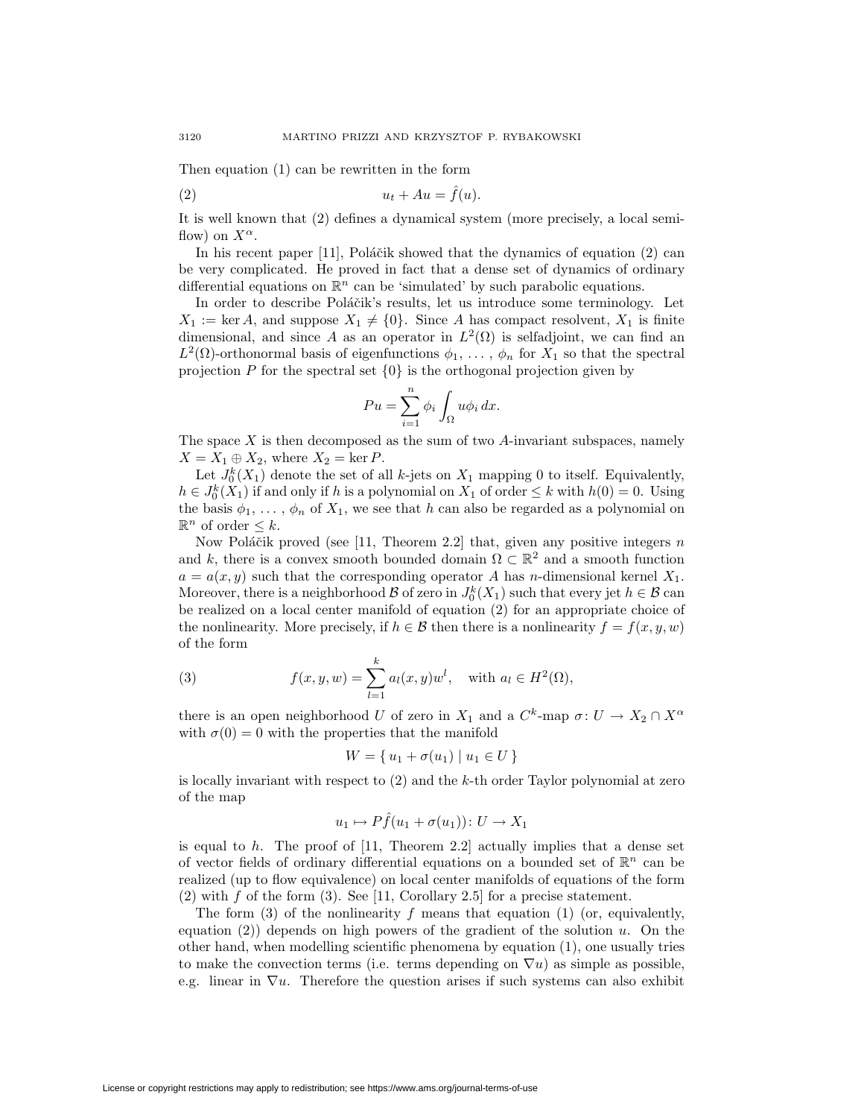Then equation (1) can be rewritten in the form

$$
(2) \t\t u_t + Au = \hat{f}(u).
$$

It is well known that (2) defines a dynamical system (more precisely, a local semiflow) on  $X^{\alpha}$ .

In his recent paper  $[11]$ , Poláčik showed that the dynamics of equation  $(2)$  can be very complicated. He proved in fact that a dense set of dynamics of ordinary differential equations on  $\mathbb{R}^n$  can be 'simulated' by such parabolic equations.

In order to describe Poláčik's results, let us introduce some terminology. Let  $X_1 := \text{ker } A$ , and suppose  $X_1 \neq \{0\}$ . Since *A* has compact resolvent,  $X_1$  is finite dimensional, and since *A* as an operator in  $L^2(\Omega)$  is selfadjoint, we can find an  $L^2(\Omega)$ -orthonormal basis of eigenfunctions  $\phi_1, \ldots, \phi_n$  for  $X_1$  so that the spectral projection *P* for the spectral set *{*0*}* is the orthogonal projection given by

$$
Pu = \sum_{i=1}^{n} \phi_i \int_{\Omega} u \phi_i \, dx.
$$

The space *X* is then decomposed as the sum of two *A*-invariant subspaces, namely  $X = X_1 \oplus X_2$ , where  $X_2 = \ker P$ .

Let  $J_0^k(X_1)$  denote the set of all *k*-jets on  $X_1$  mapping 0 to itself. Equivalently,  $h \in J_0^k(X_1)$  if and only if *h* is a polynomial on  $X_1$  of order  $\leq k$  with  $h(0) = 0$ . Using the basis  $\phi_1, \ldots, \phi_n$  of  $X_1$ , we see that *h* can also be regarded as a polynomial on R*<sup>n</sup>* of order *≤ k*.

Now Poláčik proved (see [11, Theorem 2.2] that, given any positive integers *n* and *k*, there is a convex smooth bounded domain  $\Omega \subset \mathbb{R}^2$  and a smooth function  $a = a(x, y)$  such that the corresponding operator *A* has *n*-dimensional kernel  $X_1$ . Moreover, there is a neighborhood  $\mathcal B$  of zero in  $J_0^k(X_1)$  such that every jet  $h \in \mathcal B$  can be realized on a local center manifold of equation (2) for an appropriate choice of the nonlinearity. More precisely, if  $h \in \mathcal{B}$  then there is a nonlinearity  $f = f(x, y, w)$ of the form

(3) 
$$
f(x, y, w) = \sum_{l=1}^{k} a_l(x, y) w^l, \text{ with } a_l \in H^2(\Omega),
$$

there is an open neighborhood *U* of zero in  $X_1$  and a  $C^k$ -map  $\sigma: U \to X_2 \cap X^\alpha$ with  $\sigma(0) = 0$  with the properties that the manifold

$$
W = \{ u_1 + \sigma(u_1) \mid u_1 \in U \}
$$

is locally invariant with respect to (2) and the *k*-th order Taylor polynomial at zero of the map

$$
u_1 \mapsto P\hat{f}(u_1 + \sigma(u_1)) \colon U \to X_1
$$

is equal to *h*. The proof of [11, Theorem 2.2] actually implies that a dense set of vector fields of ordinary differential equations on a bounded set of  $\mathbb{R}^n$  can be realized (up to flow equivalence) on local center manifolds of equations of the form (2) with *f* of the form (3). See [11, Corollary 2.5] for a precise statement.

The form (3) of the nonlinearity *f* means that equation (1) (or, equivalently, equation (2)) depends on high powers of the gradient of the solution *u*. On the other hand, when modelling scientific phenomena by equation (1), one usually tries to make the convection terms (i.e. terms depending on  $\nabla u$ ) as simple as possible, e.g. linear in  $\nabla u$ . Therefore the question arises if such systems can also exhibit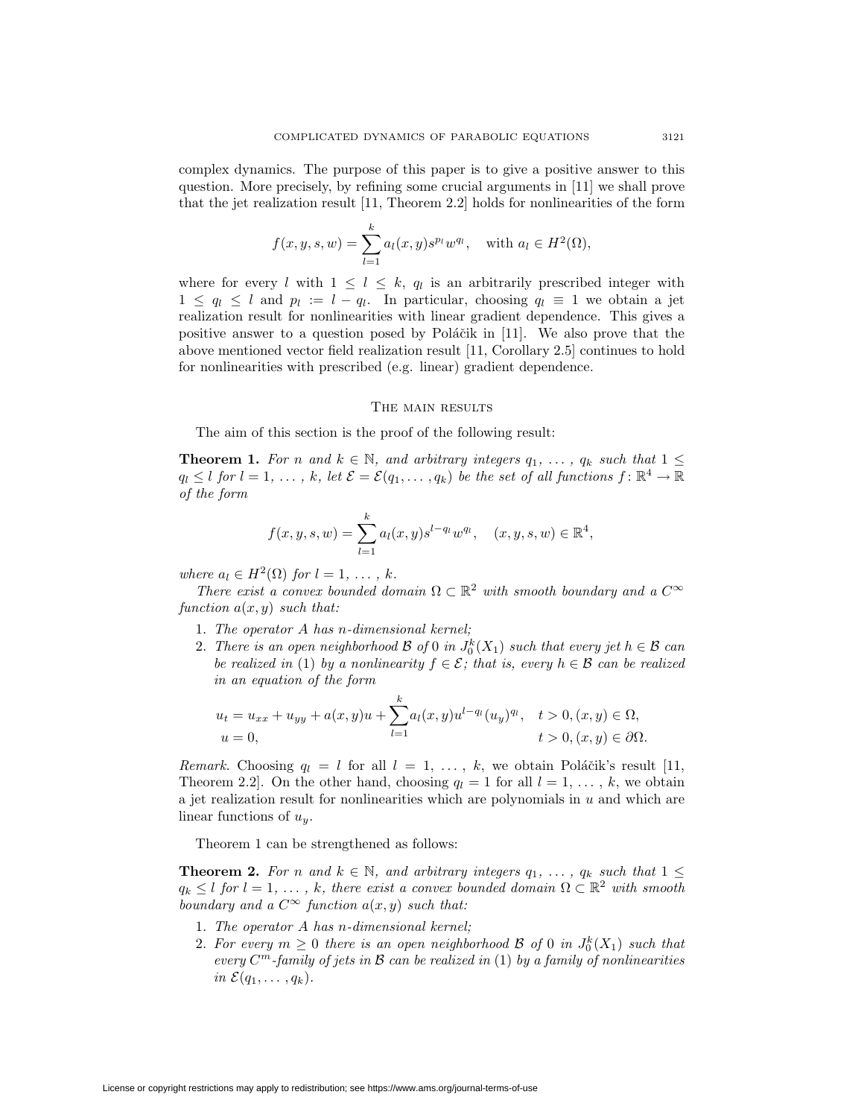complex dynamics. The purpose of this paper is to give a positive answer to this question. More precisely, by refining some crucial arguments in [11] we shall prove that the jet realization result [11, Theorem 2.2] holds for nonlinearities of the form

$$
f(x, y, s, w) = \sum_{l=1}^{k} a_l(x, y) s^{p_l} w^{q_l}, \text{ with } a_l \in H^2(\Omega),
$$

where for every *l* with  $1 \leq l \leq k$ ,  $q_l$  is an arbitrarily prescribed integer with  $1 \leq q_l \leq l$  and  $p_l := l - q_l$ . In particular, choosing  $q_l \equiv 1$  we obtain a jet realization result for nonlinearities with linear gradient dependence. This gives a positive answer to a question posed by Poláčik in  $[11]$ . We also prove that the above mentioned vector field realization result [11, Corollary 2.5] continues to hold for nonlinearities with prescribed (e.g. linear) gradient dependence.

## THE MAIN RESULTS

The aim of this section is the proof of the following result:

**Theorem 1.** For *n* and  $k \in \mathbb{N}$ , and arbitrary integers  $q_1, \ldots, q_k$  such that  $1 \leq$  $q_l \leq l$  *for*  $l = 1, \ldots, k$ *, let*  $\mathcal{E} = \mathcal{E}(q_1, \ldots, q_k)$  *be the set of all functions*  $f: \mathbb{R}^4 \to \mathbb{R}$ *of the form*

$$
f(x, y, s, w) = \sum_{l=1}^{k} a_l(x, y) s^{l-q_l} w^{q_l}, \quad (x, y, s, w) \in \mathbb{R}^4,
$$

*where*  $a_l \in H^2(\Omega)$  *for*  $l = 1, \ldots, k$ *.* 

*There exist a convex bounded domain*  $\Omega \subset \mathbb{R}^2$  *with smooth boundary and a*  $C^{\infty}$ *function a*(*x, y*) *such that:*

- 1. *The operator A has n-dimensional kernel;*
- 2. There is an open neighborhood  $\mathcal{B}$  of 0 in  $J_0^k(X_1)$  such that every jet  $h \in \mathcal{B}$  can *be realized in* (1) *by a nonlinearity*  $f \in \mathcal{E}$ ; that is, every  $h \in \mathcal{B}$  can be realized *in an equation of the form*

$$
u_t = u_{xx} + u_{yy} + a(x, y)u + \sum_{l=1}^k a_l(x, y)u^{l-q_l}(u_y)^{q_l}, \quad t > 0, (x, y) \in \Omega,
$$
  

$$
u = 0, \qquad t > 0, (x, y) \in \partial\Omega.
$$

*Remark.* Choosing  $q_l = l$  for all  $l = 1, \ldots, k$ , we obtain Poláčik's result [11, Theorem 2.2. On the other hand, choosing  $q_l = 1$  for all  $l = 1, \ldots, k$ , we obtain a jet realization result for nonlinearities which are polynomials in *u* and which are linear functions of *uy*.

Theorem 1 can be strengthened as follows:

**Theorem 2.** For *n* and  $k \in \mathbb{N}$ , and arbitrary integers  $q_1, \ldots, q_k$  such that  $1 \leq$  $q_k \leq l$  *for*  $l = 1, \ldots, k$ *, there exist a convex bounded domain*  $\Omega \subset \mathbb{R}^2$  *with smooth boundary and a*  $C^{\infty}$  *function*  $a(x, y)$  *such that:* 

- 1. *The operator A has n-dimensional kernel;*
- 2. For every  $m \geq 0$  there is an open neighborhood  $\mathcal{B}$  of  $0$  in  $J_0^k(X_1)$  such that *every C<sup>m</sup>-family of jets in B can be realized in* (1) *by a family of nonlinearities in*  $\mathcal{E}(q_1,\ldots,q_k)$ *.*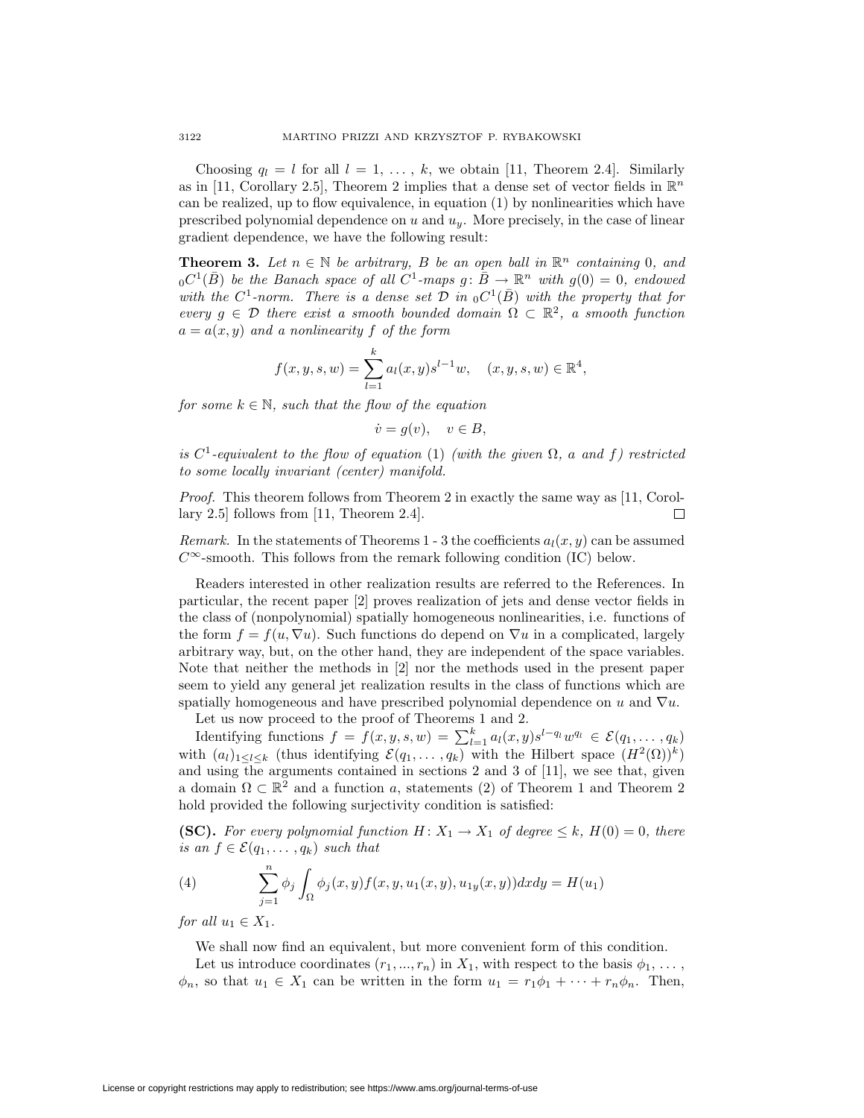Choosing  $q_l = l$  for all  $l = 1, \ldots, k$ , we obtain [11, Theorem 2.4]. Similarly as in [11, Corollary 2.5], Theorem 2 implies that a dense set of vector fields in  $\mathbb{R}^n$ can be realized, up to flow equivalence, in equation (1) by nonlinearities which have prescribed polynomial dependence on *u* and *uy*. More precisely, in the case of linear gradient dependence, we have the following result:

**Theorem 3.** Let  $n \in \mathbb{N}$  be arbitrary, B be an open ball in  $\mathbb{R}^n$  containing 0, and  $_0C^1(\overline{B})$  *be the Banach space of all*  $C^1$ -maps  $g: \overline{B} \to \mathbb{R}^n$  with  $g(0) = 0$ , endowed *with the*  $C^1$ -norm. There is a dense set  $D$  in  $_0C^1(\overline{B})$  with the property that for *every*  $g \in \mathcal{D}$  *there exist a smooth bounded domain*  $\Omega \subset \mathbb{R}^2$ , a smooth function  $a = a(x, y)$  *and a nonlinearity*  $f$  *of the form* 

$$
f(x, y, s, w) = \sum_{l=1}^{k} a_l(x, y) s^{l-1} w, \quad (x, y, s, w) \in \mathbb{R}^4,
$$

*for some*  $k \in \mathbb{N}$ *, such that the flow of the equation* 

$$
\dot{v} = g(v), \quad v \in B,
$$

 $i$ *s*  $C^1$ -equivalent to the flow of equation (1) *(with the given*  $\Omega$ , *a and f*) restricted *to some locally invariant (center) manifold.*

*Proof.* This theorem follows from Theorem 2 in exactly the same way as [11, Corollary 2.5] follows from [11, Theorem 2.4].  $\Box$ 

*Remark.* In the statements of Theorems 1 - 3 the coefficients  $a_l(x, y)$  can be assumed *C∞*-smooth. This follows from the remark following condition (IC) below.

Readers interested in other realization results are referred to the References. In particular, the recent paper [2] proves realization of jets and dense vector fields in the class of (nonpolynomial) spatially homogeneous nonlinearities, i.e. functions of the form  $f = f(u, \nabla u)$ . Such functions do depend on  $\nabla u$  in a complicated, largely arbitrary way, but, on the other hand, they are independent of the space variables. Note that neither the methods in [2] nor the methods used in the present paper seem to yield any general jet realization results in the class of functions which are spatially homogeneous and have prescribed polynomial dependence on  $u$  and  $\nabla u$ .

Let us now proceed to the proof of Theorems 1 and 2.

Identifying functions  $f = f(x, y, s, w) = \sum_{l=1}^{k} a_l(x, y) s^{l-q_l} w^{q_l} \in \mathcal{E}(q_1, \ldots, q_k)$ with  $(a_l)_{1 \leq l \leq k}$  (thus identifying  $\mathcal{E}(q_1,\ldots,q_k)$  with the Hilbert space  $(H^2(\Omega))^k$ ) and using the arguments contained in sections 2 and 3 of [11], we see that, given a domain  $\Omega \subset \mathbb{R}^2$  and a function *a*, statements (2) of Theorem 1 and Theorem 2 hold provided the following surjectivity condition is satisfied:

**(SC).** For every polynomial function  $H: X_1 \to X_1$  of degree  $\leq k$ ,  $H(0) = 0$ , there *is an*  $f \in \mathcal{E}(q_1, \ldots, q_k)$  *such that* 

(4) 
$$
\sum_{j=1}^{n} \phi_j \int_{\Omega} \phi_j(x, y) f(x, y, u_1(x, y), u_{1y}(x, y)) dx dy = H(u_1)
$$

*for all*  $u_1 \in X_1$ .

We shall now find an equivalent, but more convenient form of this condition.

Let us introduce coordinates  $(r_1, ..., r_n)$  in  $X_1$ , with respect to the basis  $\phi_1, ..., \phi_n$  $\phi_n$ , so that  $u_1 \in X_1$  can be written in the form  $u_1 = r_1 \phi_1 + \cdots + r_n \phi_n$ . Then,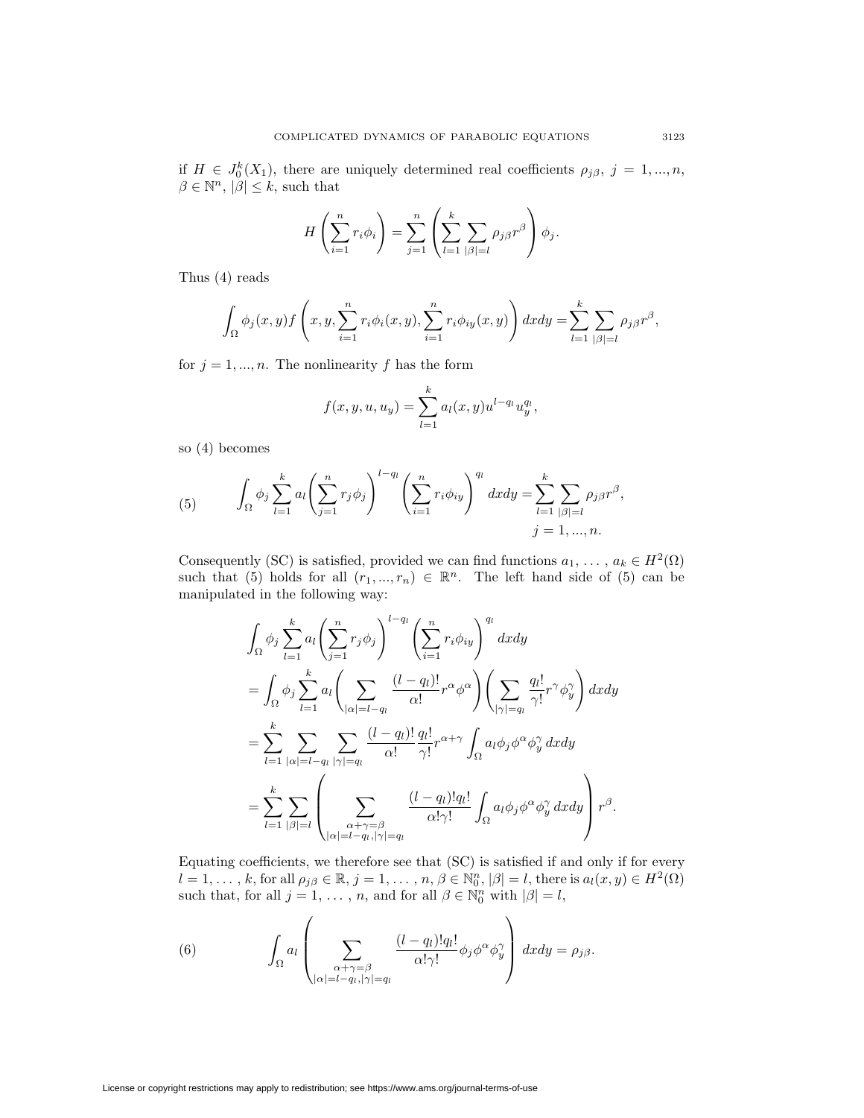if  $H \in J_0^k(X_1)$ , there are uniquely determined real coefficients  $\rho_{j\beta}$ ,  $j = 1, ..., n$ ,  $\beta \in \mathbb{N}^n$ ,  $|\beta| \leq k$ , such that

$$
H\left(\sum_{i=1}^n r_i \phi_i\right) = \sum_{j=1}^n \left(\sum_{l=1}^k \sum_{|\beta|=l} \rho_{j\beta} r^{\beta}\right) \phi_j.
$$

Thus (4) reads

$$
\int_{\Omega} \phi_j(x, y) f\left(x, y, \sum_{i=1}^n r_i \phi_i(x, y), \sum_{i=1}^n r_i \phi_{iy}(x, y)\right) dx dy = \sum_{l=1}^k \sum_{|\beta|=l} \rho_{j\beta} r^{\beta},
$$

for  $j = 1, ..., n$ . The nonlinearity  $f$  has the form

$$
f(x, y, u, u_y) = \sum_{l=1}^{k} a_l(x, y) u^{l-q_l} u_y^{q_l},
$$

so (4) becomes

(5) 
$$
\int_{\Omega} \phi_j \sum_{l=1}^k a_l \left( \sum_{j=1}^n r_j \phi_j \right)^{l-q_l} \left( \sum_{i=1}^n r_i \phi_{iy} \right)^{q_l} dx dy = \sum_{l=1}^k \sum_{|\beta|=l} \rho_{j\beta} r^{\beta},
$$

$$
j = 1, ..., n.
$$

Consequently (SC) is satisfied, provided we can find functions  $a_1, \ldots, a_k \in H^2(\Omega)$ such that (5) holds for all  $(r_1, ..., r_n) \in \mathbb{R}^n$ . The left hand side of (5) can be manipulated in the following way:

$$
\int_{\Omega} \phi_j \sum_{l=1}^{k} a_l \left( \sum_{j=1}^{n} r_j \phi_j \right)^{l-q_l} \left( \sum_{i=1}^{n} r_i \phi_{iy} \right)^{q_l} dxdy
$$
\n
$$
= \int_{\Omega} \phi_j \sum_{l=1}^{k} a_l \left( \sum_{|\alpha|=l-q_l} \frac{(l-q_l)!}{\alpha!} r^{\alpha} \phi^{\alpha} \right) \left( \sum_{|\gamma|=q_l} \frac{q_l!}{\gamma!} r^{\gamma} \phi_j^{\gamma} \right) dxdy
$$
\n
$$
= \sum_{l=1}^{k} \sum_{|\alpha|=l-q_l} \sum_{|\gamma|=q_l} \frac{(l-q_l)!}{\alpha!} \frac{q_l!}{\gamma!} r^{\alpha+\gamma} \int_{\Omega} a_l \phi_j \phi^{\alpha} \phi_j^{\gamma} dxdy
$$
\n
$$
= \sum_{l=1}^{k} \sum_{|\beta|=l} \left( \sum_{\substack{\alpha+\gamma=\beta \\ |\alpha|=l-q_l, |\gamma|=q_l}} \frac{(l-q_l)!q_l!}{\alpha! \gamma!} \int_{\Omega} a_l \phi_j \phi^{\alpha} \phi_j^{\gamma} dxdy \right) r^{\beta}.
$$

Equating coefficients, we therefore see that (SC) is satisfied if and only if for every  $l=1,\ldots,k,$  for all  $\rho_{j\beta}\in\mathbb{R}, j=1,\ldots,n,$   $\beta\in\mathbb{N}_{0}^{n}, |\beta|=l,$  there is  $a_{l}(x,y)\in H^{2}(\Omega)$ such that, for all  $j = 1, \ldots, n$ , and for all  $\beta \in \mathbb{N}_0^n$  with  $|\beta| = l$ ,

(6) 
$$
\int_{\Omega} a_l \left( \sum_{\substack{\alpha + \gamma = \beta \\ |\alpha| = l - q_l, |\gamma| = q_l}} \frac{(l - q_l)! q_l!}{\alpha! \gamma!} \phi_j \phi^{\alpha} \phi^{\gamma}_y \right) dx dy = \rho_{j\beta}.
$$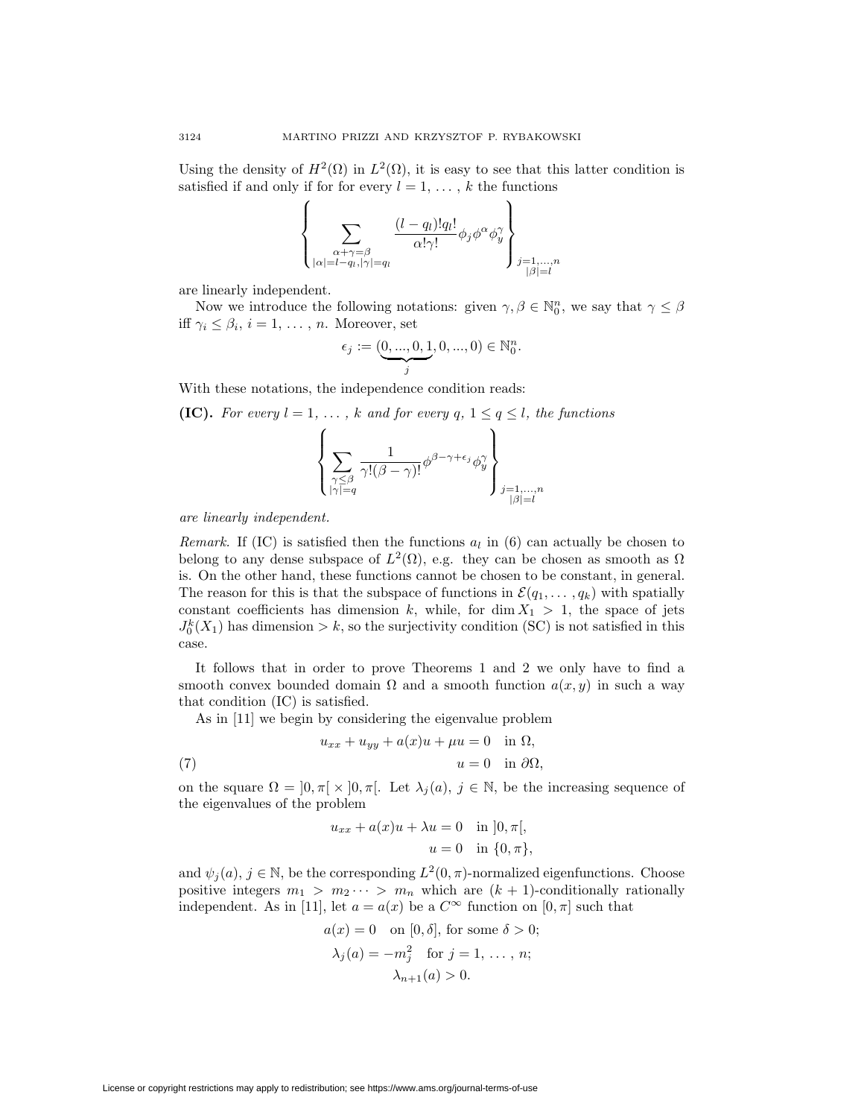Using the density of  $H^2(\Omega)$  in  $L^2(\Omega)$ , it is easy to see that this latter condition is satisfied if and only if for for every  $l = 1, \ldots, k$  the functions

$$
\left\{\sum_{\substack{\alpha+\gamma=\beta\\|\alpha|=l-q_l,|\gamma|=q_l}}\frac{(l-q_l)!q_l!}{\alpha!\gamma!}\phi_j\phi^\alpha\phi_y^\gamma\right\}_{\substack{j=1,...,n\\|\beta|=l}}
$$

are linearly independent.

Now we introduce the following notations: given  $\gamma, \beta \in \mathbb{N}_0^n$ , we say that  $\gamma \leq \beta$ iff  $\gamma_i \leq \beta_i$ ,  $i = 1, \ldots, n$ . Moreover, set

$$
\epsilon_j := (\underbrace{0, ..., 0, 1}_{j}, 0, ..., 0) \in \mathbb{N}_0^n.
$$

With these notations, the independence condition reads:

**(IC).** For every 
$$
l = 1, ..., k
$$
 and for every  $q, 1 \le q \le l$ , the functions\n
$$
\left\{ \sum_{\substack{\gamma \le \beta \\ |\gamma| = q}} \frac{1}{\gamma!(\beta - \gamma)!} \phi^{\beta - \gamma + \epsilon_j} \phi^{\gamma}_y \right\}_{\substack{j = 1, ..., n \\ |\beta| = l}}
$$

*are linearly independent.*

*Remark.* If (IC) is satisfied then the functions *a<sup>l</sup>* in (6) can actually be chosen to belong to any dense subspace of  $L^2(\Omega)$ , e.g. they can be chosen as smooth as  $\Omega$ is. On the other hand, these functions cannot be chosen to be constant, in general. The reason for this is that the subspace of functions in  $\mathcal{E}(q_1,\ldots,q_k)$  with spatially constant coefficients has dimension k, while, for dim  $X_1 > 1$ , the space of jets  $J_0^k(X_1)$  has dimension  $k$ , so the surjectivity condition (SC) is not satisfied in this case.

It follows that in order to prove Theorems 1 and 2 we only have to find a smooth convex bounded domain  $\Omega$  and a smooth function  $a(x, y)$  in such a way that condition (IC) is satisfied.

As in [11] we begin by considering the eigenvalue problem

(7) 
$$
u_{xx} + u_{yy} + a(x)u + \mu u = 0 \quad \text{in } \Omega,
$$

$$
u = 0 \quad \text{in } \partial\Omega,
$$

on the square  $\Omega = \left]0, \pi\right[\times]0, \pi\right[$ . Let  $\lambda_j(a), j \in \mathbb{N}$ , be the increasing sequence of the eigenvalues of the problem

$$
u_{xx} + a(x)u + \lambda u = 0 \quad \text{in } [0, \pi[,
$$

$$
u = 0 \quad \text{in } \{0, \pi\},
$$

and  $\psi_i(a)$ ,  $j \in \mathbb{N}$ , be the corresponding  $L^2(0, \pi)$ -normalized eigenfunctions. Choose positive integers  $m_1 > m_2 \cdots > m_n$  which are  $(k + 1)$ -conditionally rationally independent. As in [11], let  $a = a(x)$  be a  $C^{\infty}$  function on [0,  $\pi$ ] such that

$$
a(x) = 0 \quad \text{on } [0, \delta], \text{ for some } \delta > 0;
$$

$$
\lambda_j(a) = -m_j^2 \quad \text{for } j = 1, \dots, n;
$$

$$
\lambda_{n+1}(a) > 0.
$$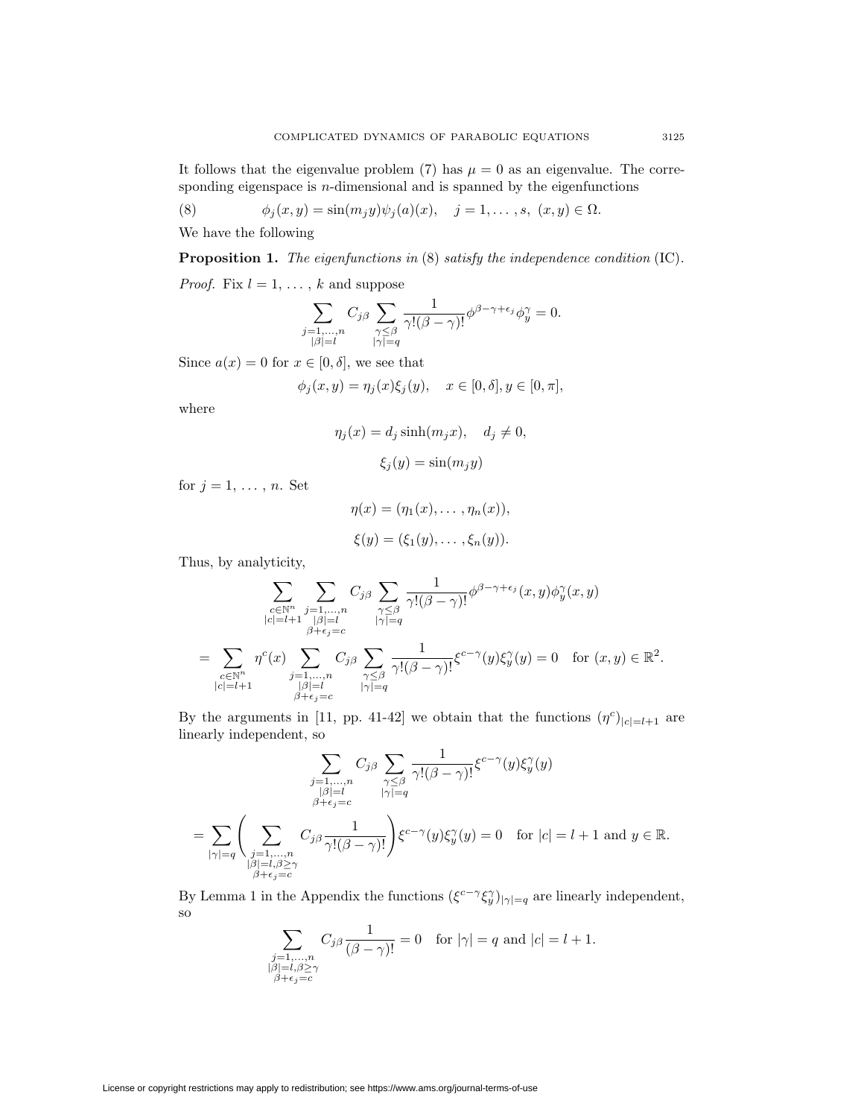It follows that the eigenvalue problem (7) has  $\mu = 0$  as an eigenvalue. The corresponding eigenspace is *n*-dimensional and is spanned by the eigenfunctions

(8) 
$$
\phi_j(x, y) = \sin(m_j y) \psi_j(a)(x), \quad j = 1, ..., s, (x, y) \in \Omega.
$$

We have the following

**Proposition 1.** *The eigenfunctions in* (8) *satisfy the independence condition* (IC)*.*

*Proof.* Fix  $l = 1, \ldots, k$  and suppose

$$
\sum_{\substack{j=1,\ldots,n\\|\beta|=l}} C_{j\beta} \sum_{\substack{\gamma \leq \beta\\|\gamma|=q}} \frac{1}{\gamma!(\beta-\gamma)!} \phi^{\beta-\gamma+\epsilon_j} \phi_y^{\gamma} = 0.
$$

Since  $a(x) = 0$  for  $x \in [0, \delta]$ , we see that

$$
\phi_j(x, y) = \eta_j(x)\xi_j(y), \quad x \in [0, \delta], y \in [0, \pi],
$$

where

$$
\eta_j(x) = d_j \sinh(m_j x), \quad d_j \neq 0,
$$

$$
\xi_j(y) = \sin(m_j y)
$$

for  $j = 1, \ldots, n$ . Set

$$
\eta(x) = (\eta_1(x), \dots, \eta_n(x)),
$$
  

$$
\xi(y) = (\xi_1(y), \dots, \xi_n(y)).
$$

Thus, by analyticity,

$$
\sum_{\substack{c \in \mathbb{N}^n \\ |c| = l+1}} \sum_{\substack{j=1,...,n \\ |\beta| = l \\ |c| = l+1}} C_{j\beta} \sum_{\substack{\gamma \leq \beta \\ \gamma \leq \beta \\ |\gamma| = q}} \frac{1}{\gamma!(\beta - \gamma)!} \phi^{\beta - \gamma + \epsilon_{j}}(x, y) \phi^{\gamma}_{y}(x, y)
$$
\n
$$
= \sum_{\substack{c \in \mathbb{N}^n \\ |c| = l+1}} \eta^{c}(x) \sum_{\substack{j=1,...,n \\ |\beta| = l \\ \beta + \epsilon_{j} = c}} C_{j\beta} \sum_{\substack{\gamma \leq \beta \\ |\gamma| = q}} \frac{1}{\gamma!(\beta - \gamma)!} \xi^{c - \gamma}(y) \xi^{\gamma}_{y}(y) = 0 \text{ for } (x, y) \in \mathbb{R}^{2}.
$$

By the arguments in [11, pp. 41-42] we obtain that the functions  $(\eta^c)|_{c|=l+1}$  are linearly independent, so

$$
\sum_{\substack{j=1,\ldots,n\\|\beta|=l}} C_{j\beta} \sum_{\substack{\gamma \leq \beta\\|\gamma|=q}} \frac{1}{\gamma!(\beta-\gamma)!} \xi^{c-\gamma}(y) \xi_{y}^{\gamma}(y)
$$

$$
= \sum_{|\gamma|=q} \left( \sum_{\substack{j=1,\ldots,n\\|\beta|=l,\beta\geq \gamma}} C_{j\beta} \frac{1}{\gamma!(\beta-\gamma)!} \right) \xi^{c-\gamma}(y) \xi_{y}^{\gamma}(y) = 0 \quad \text{for } |c| = l+1 \text{ and } y \in \mathbb{R}.
$$

By Lemma 1 in the Appendix the functions  $(\xi^{c-\gamma}\xi^{\gamma}_y)_{|\gamma|=q}$  are linearly independent, so

$$
\sum_{\substack{j=1,\ldots,n \\ |\beta|=l,\beta\geq\gamma \\ \beta+\epsilon_j=c}} C_{j\beta} \frac{1}{(\beta-\gamma)!} = 0 \text{ for } |\gamma|=q \text{ and } |c|=l+1.
$$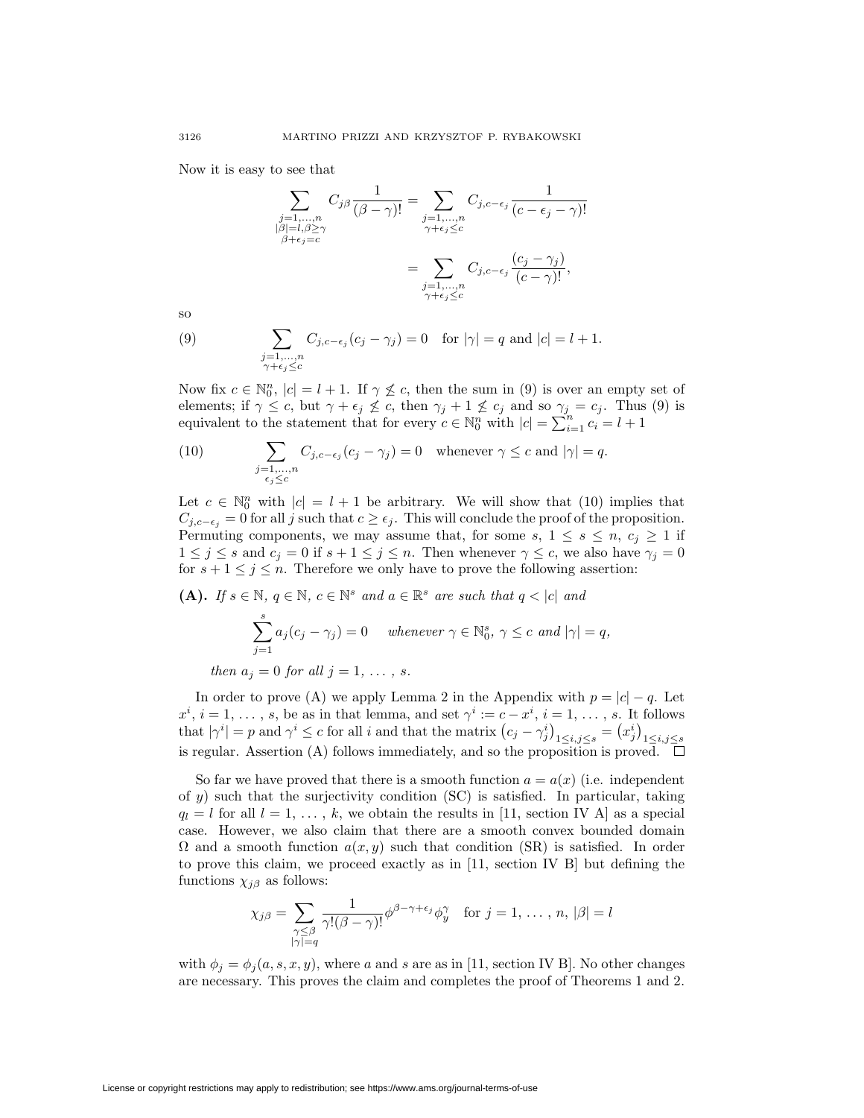Now it is easy to see that

$$
\sum_{\substack{j=1,\ldots,n\\|\beta|=l,\beta\geq\gamma\\|\beta+\epsilon_j=c}} C_{j\beta} \frac{1}{(\beta-\gamma)!} = \sum_{\substack{j=1,\ldots,n\\ \gamma+\epsilon_j\leq c}} C_{j,c-\epsilon_j} \frac{1}{(c-\epsilon_j-\gamma)!}
$$

$$
= \sum_{\substack{j=1,\ldots,n\\ \gamma+\epsilon_j\leq c}} C_{j,c-\epsilon_j} \frac{(c_j-\gamma_j)}{(c-\gamma)!},
$$

so

(9) 
$$
\sum_{\substack{j=1,\ldots,n\\ \gamma+\epsilon_j\leq c}} C_{j,c-\epsilon_j}(c_j-\gamma_j)=0 \text{ for } |\gamma|=q \text{ and } |c|=l+1.
$$

Now fix  $c \in \mathbb{N}_0^n$ ,  $|c| = l + 1$ . If  $\gamma \nleq c$ , then the sum in (9) is over an empty set of elements; if  $\gamma \leq c$ , but  $\gamma + \epsilon_j \leq c$ , then  $\gamma_j + 1 \leq c_j$  and so  $\gamma_j = c_j$ . Thus (9) is equivalent to the statement that for every  $c \in \mathbb{N}_0^n$  with  $|c| = \sum_{i=1}^n c_i = l + 1$ 

(10) 
$$
\sum_{\substack{j=1,\ldots,n\\ \epsilon_j \leq c}} C_{j,c-\epsilon_j}(c_j - \gamma_j) = 0 \quad \text{whenever } \gamma \leq c \text{ and } |\gamma| = q.
$$

Let  $c \in \mathbb{N}_0^n$  with  $|c| = l + 1$  be arbitrary. We will show that (10) implies that  $C_{j,c-\epsilon_j} = 0$  for all *j* such that  $c \geq \epsilon_j$ . This will conclude the proof of the proposition. Permuting components, we may assume that, for some *s*,  $1 \leq s \leq n$ ,  $c_j \geq 1$  if  $1 \leq j \leq s$  and  $c_j = 0$  if  $s + 1 \leq j \leq n$ . Then whenever  $\gamma \leq c$ , we also have  $\gamma_j = 0$ for  $s + 1 \leq j \leq n$ . Therefore we only have to prove the following assertion:

(A). If 
$$
s \in \mathbb{N}
$$
,  $q \in \mathbb{N}$ ,  $c \in \mathbb{N}^s$  and  $a \in \mathbb{R}^s$  are such that  $q < |c|$  and  
\n
$$
\sum_{j=1}^s a_j(c_j - \gamma_j) = 0 \quad whenever \ \gamma \in \mathbb{N}_0^s, \ \gamma \leq c \ \text{and} \ |\gamma| = q,
$$
\nthen  $a_j = 0$  for all  $j = 1, \ldots, s$ .

In order to prove (A) we apply Lemma 2 in the Appendix with  $p = |c| - q$ . Let  $x^i$ ,  $i = 1, \ldots, s$ , be as in that lemma, and set  $\gamma^i := c - x^i$ ,  $i = 1, \ldots, s$ . It follows that  $|\gamma^i| = p$  and  $\gamma^i \le c$  for all i and that the matrix  $(c_j - \gamma_j^i)_{1 \le i,j \le s} = (x_j^i)_{1 \le i,j \le s}$ is regular. Assertion (A) follows immediately, and so the proposition is proved.  $\Box$ 

So far we have proved that there is a smooth function  $a = a(x)$  (i.e. independent of *y*) such that the surjectivity condition (SC) is satisfied. In particular, taking  $q_l = l$  for all  $l = 1, \ldots, k$ , we obtain the results in [11, section IV A] as a special case. However, we also claim that there are a smooth convex bounded domain  $\Omega$  and a smooth function  $a(x, y)$  such that condition (SR) is satisfied. In order to prove this claim, we proceed exactly as in [11, section IV B] but defining the functions  $\chi_{i\beta}$  as follows:

$$
\chi_{j\beta} = \sum_{\substack{\gamma \leq \beta \\ |\gamma| = q}} \frac{1}{\gamma!(\beta - \gamma)!} \phi^{\beta - \gamma + \epsilon_j} \phi^{\gamma}_y \quad \text{for } j = 1, \dots, n, |\beta| = l
$$

with  $\phi_j = \phi_j(a, s, x, y)$ , where *a* and *s* are as in [11, section IV B]. No other changes are necessary. This proves the claim and completes the proof of Theorems 1 and 2.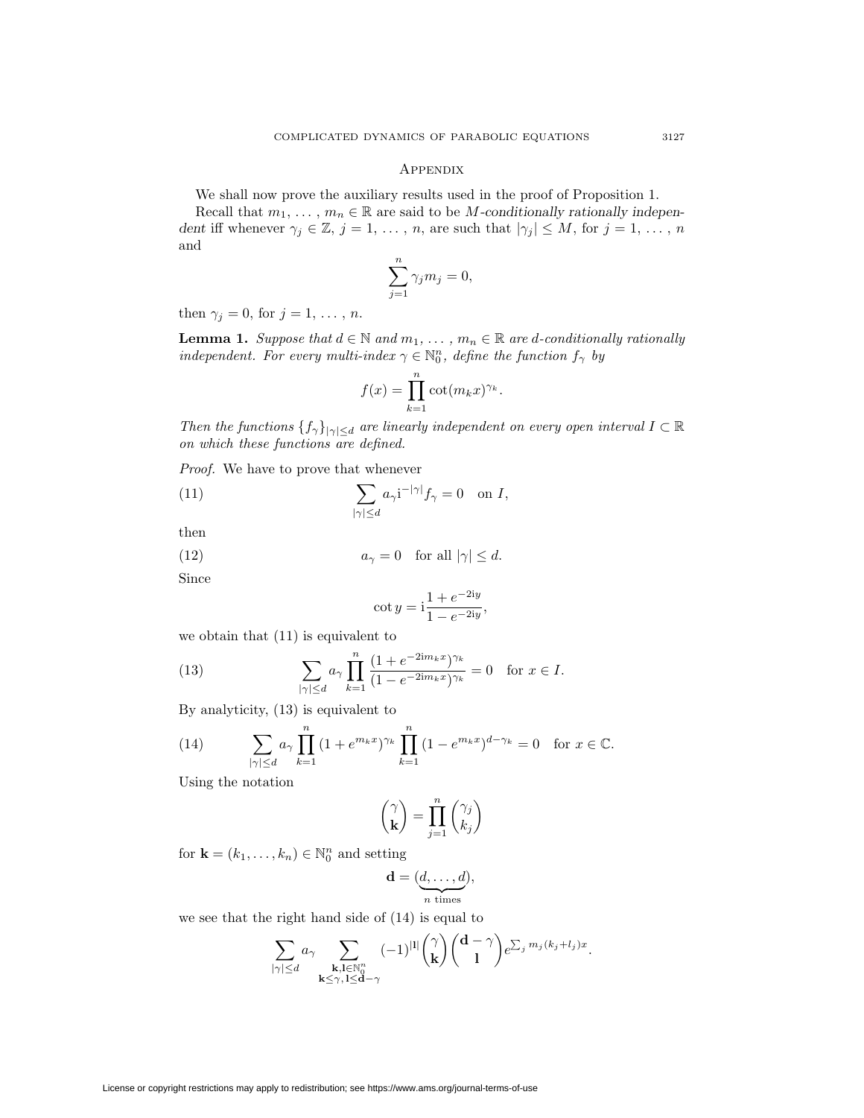## **APPENDIX**

We shall now prove the auxiliary results used in the proof of Proposition 1.

Recall that  $m_1, \ldots, m_n \in \mathbb{R}$  are said to be *M*-conditionally rationally indepen*dent* iff whenever  $\gamma_j \in \mathbb{Z}, j = 1, \ldots, n$ , are such that  $|\gamma_j| \leq M$ , for  $j = 1, \ldots, n$ and

$$
\sum_{j=1}^{n} \gamma_j m_j = 0,
$$

then  $\gamma_j = 0$ , for  $j = 1, \ldots, n$ .

**Lemma 1.** *Suppose that*  $d \in \mathbb{N}$  *and*  $m_1, \ldots, m_n \in \mathbb{R}$  *are d-conditionally rationally independent. For every multi-index*  $\gamma \in \mathbb{N}_0^n$ , define the function  $f_\gamma$  by

$$
f(x) = \prod_{k=1}^{n} \cot(m_k x)^{\gamma_k}.
$$

*Then the functions*  $\{f_\gamma\}_{|\gamma| \le d}$  *are linearly independent on every open interval*  $I \subset \mathbb{R}$ *on which these functions are defined.*

*Proof.* We have to prove that whenever

(11) 
$$
\sum_{|\gamma| \le d} a_{\gamma} i^{-|\gamma|} f_{\gamma} = 0 \text{ on } I,
$$

then

(12) 
$$
a_{\gamma} = 0 \quad \text{for all } |\gamma| \leq d.
$$

Since

$$
\cot y = \mathrm{i} \frac{1 + e^{-2\mathrm{i}y}}{1 - e^{-2\mathrm{i}y}},
$$

we obtain that (11) is equivalent to

(13) 
$$
\sum_{|\gamma| \le d} a_{\gamma} \prod_{k=1}^{n} \frac{(1 + e^{-2\mathrm{i}m_k x})^{\gamma_k}}{(1 - e^{-2\mathrm{i}m_k x})^{\gamma_k}} = 0 \text{ for } x \in I.
$$

By analyticity, (13) is equivalent to

(14) 
$$
\sum_{|\gamma| \le d} a_{\gamma} \prod_{k=1}^{n} (1 + e^{m_k x})^{\gamma_k} \prod_{k=1}^{n} (1 - e^{m_k x})^{d - \gamma_k} = 0 \text{ for } x \in \mathbb{C}.
$$

Using the notation

$$
\begin{pmatrix} \gamma \\ \mathbf{k} \end{pmatrix} = \prod_{j=1}^{n} \begin{pmatrix} \gamma_j \\ k_j \end{pmatrix}
$$

for  $\mathbf{k} = (k_1, \ldots, k_n) \in \mathbb{N}_0^n$  and setting

$$
\mathbf{d} = (\underbrace{d, \ldots, d}_{n \text{ times}}),
$$

we see that the right hand side of (14) is equal to

$$
\sum_{|\gamma|\leq d} a_\gamma \sum_{\substack{\mathbf{k},\mathbf{l}\in\mathbb{N}_0^n\\ \mathbf{k}\leq \gamma,\, \mathbf{l}\leq \mathbf{d}-\gamma}} (-1)^{|\mathbf{l}|}{\gamma\choose \mathbf{k}}{\mathbf{d}-\gamma\choose 1}e^{\sum_j m_j(k_j+l_j)x}.
$$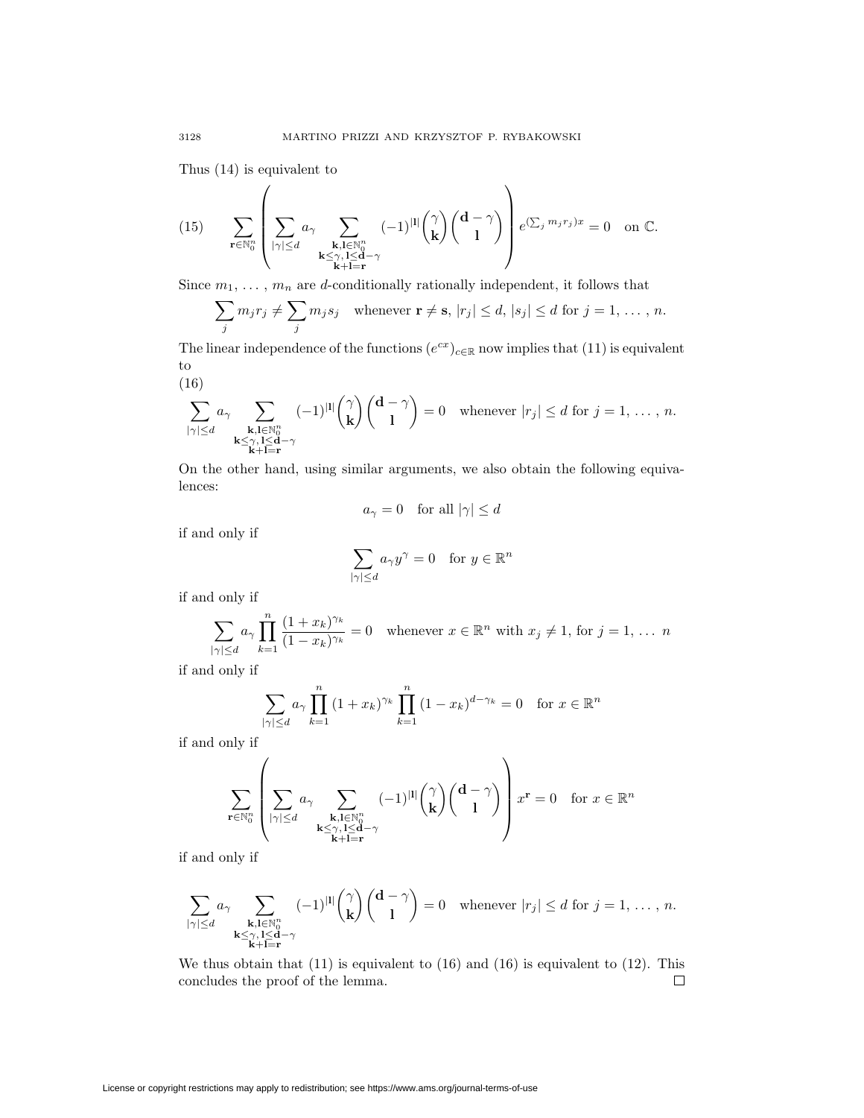Thus (14) is equivalent to

(15) 
$$
\sum_{\mathbf{r} \in \mathbb{N}_0^n} \left( \sum_{\substack{|\gamma| \le d \\ \kappa \le \gamma, 1 \le \mathbf{d}-\gamma \\ \mathbf{k}+\mathbf{l}=\mathbf{r}}} a_{\gamma} \sum_{\substack{\mathbf{k}, \mathbf{l} \in \mathbb{N}_0^n \\ \mathbf{k}+\mathbf{l}=\mathbf{r}}} (-1)^{|\mathbf{l}|} {\gamma \choose \mathbf{k}} {d-\gamma \choose 1} e^{(\sum_j m_j r_j)x} = 0 \text{ on } \mathbb{C}.
$$

Since  $m_1, \ldots, m_n$  are *d*-conditionally rationally independent, it follows that

$$
\sum_{j} m_j r_j \neq \sum_{j} m_j s_j \quad \text{whenever } \mathbf{r} \neq \mathbf{s}, |r_j| \leq d, |s_j| \leq d \text{ for } j = 1, \dots, n.
$$

The linear independence of the functions  $(e^{cx})_{c \in \mathbb{R}}$  now implies that (11) is equivalent to

$$
(16)
$$

$$
\sum_{|\gamma| \le d} a_\gamma \sum_{\substack{\mathbf{k}, \mathbf{l} \in \mathbb{N}_0^n \\ \mathbf{k} \le \gamma, \mathbf{l} \le \mathbf{d}-\gamma \\ \mathbf{k}+\mathbf{l}=\mathbf{r}}} (-1)^{|\mathbf{l}|} \binom{\gamma}{\mathbf{k}} \binom{\mathbf{d}-\gamma}{\mathbf{l}} = 0 \quad \text{whenever } |r_j| \le d \text{ for } j=1,\ldots,n.
$$

On the other hand, using similar arguments, we also obtain the following equivalences:

$$
a_{\gamma} = 0
$$
 for all  $|\gamma| \leq d$ 

if and only if

$$
\sum_{|\gamma| \le d} a_{\gamma} y^{\gamma} = 0 \quad \text{for } y \in \mathbb{R}^n
$$

if and only if

$$
\sum_{|\gamma| \le d} a_{\gamma} \prod_{k=1}^{n} \frac{(1+x_k)^{\gamma_k}}{(1-x_k)^{\gamma_k}} = 0 \quad \text{whenever } x \in \mathbb{R}^n \text{ with } x_j \ne 1 \text{, for } j = 1, \dots \ n
$$

if and only if

$$
\sum_{|\gamma| \le d} a_{\gamma} \prod_{k=1}^{n} (1 + x_k)^{\gamma_k} \prod_{k=1}^{n} (1 - x_k)^{d - \gamma_k} = 0 \quad \text{for } x \in \mathbb{R}^n
$$

if and only if

$$
\sum_{\mathbf{r}\in\mathbb{N}_0^n}\left(\sum_{\substack{|\gamma|\leq d\\ \kappa\leq \gamma,\, l\leq \mathbf{d}-\gamma\\ \mathbf{k}+l=\mathbf{r}}}(1)^{|{\bf l}|}{\binom{\gamma}{\mathbf{k}}}{\binom{\mathbf{d}-\gamma}{1}}\right)x^{\mathbf{r}}=0\quad \text{for }x\in\mathbb{R}^n
$$

if and only if

$$
\sum_{|\gamma| \le d} a_{\gamma} \sum_{\substack{\mathbf{k}, \mathbf{l} \in \mathbb{N}_0^n \\ \mathbf{k} \le \gamma, \mathbf{l} \le \mathbf{d} - \gamma \\ \mathbf{k} + \mathbf{l} = \mathbf{r}}} (-1)^{|\mathbf{l}|} \binom{\gamma}{\mathbf{k}} \binom{\mathbf{d} - \gamma}{\mathbf{l}} = 0 \quad \text{whenever } |r_j| \le d \text{ for } j = 1, \dots, n.
$$

We thus obtain that  $(11)$  is equivalent to  $(16)$  and  $(16)$  is equivalent to  $(12)$ . This concludes the proof of the lemma.  $\Box$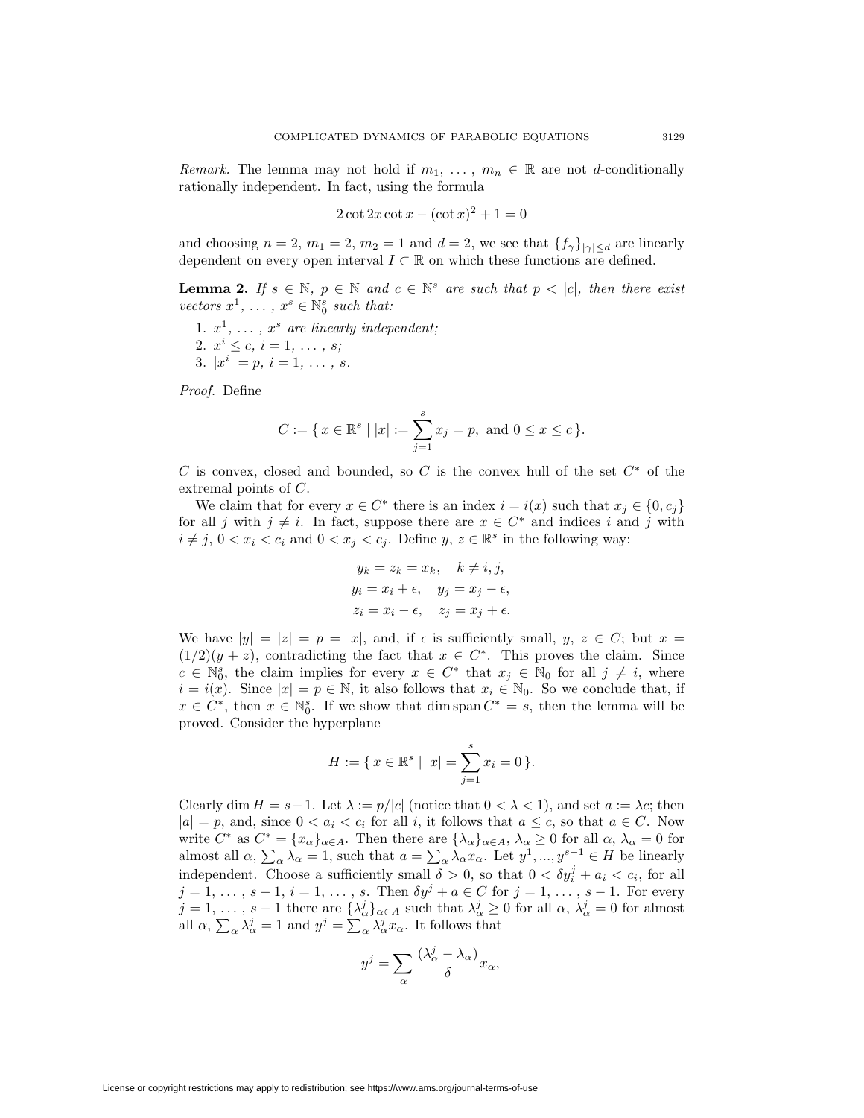*Remark.* The lemma may not hold if  $m_1, \ldots, m_n \in \mathbb{R}$  are not *d*-conditionally rationally independent. In fact, using the formula

$$
2 \cot 2x \cot x - (\cot x)^2 + 1 = 0
$$

and choosing  $n = 2$ ,  $m_1 = 2$ ,  $m_2 = 1$  and  $d = 2$ , we see that  $\{f_\gamma\}_{|\gamma| \le d}$  are linearly dependent on every open interval  $I \subset \mathbb{R}$  on which these functions are defined.

**Lemma 2.** *If*  $s \in \mathbb{N}$ ,  $p \in \mathbb{N}$  and  $c \in \mathbb{N}^s$  are such that  $p < |c|$ , then there exist *vectors*  $x^1$ ,  $\dots$ ,  $x^s \in \mathbb{N}_0^s$  *such that:* 

1.  $x^1, \ldots, x^s$  are linearly independent;

2. 
$$
x^{i} \leq c, i = 1, \ldots, s;
$$

3.  $|x^i| = p, i = 1, \ldots, s$ .

*Proof.* Define

$$
C := \{ x \in \mathbb{R}^s \mid |x| := \sum_{j=1}^s x_j = p, \text{ and } 0 \le x \le c \}.
$$

*C* is convex, closed and bounded, so *C* is the convex hull of the set *C<sup>∗</sup>* of the extremal points of *C*.

We claim that for every  $x \in C^*$  there is an index  $i = i(x)$  such that  $x_i \in \{0, c_i\}$ for all *j* with  $j \neq i$ . In fact, suppose there are  $x \in C^*$  and indices *i* and *j* with  $i \neq j$ ,  $0 < x_i < c_i$  and  $0 < x_j < c_j$ . Define *y*,  $z \in \mathbb{R}^s$  in the following way:

$$
y_k = z_k = x_k, \quad k \neq i, j,
$$
  
\n
$$
y_i = x_i + \epsilon, \quad y_j = x_j - \epsilon,
$$
  
\n
$$
z_i = x_i - \epsilon, \quad z_j = x_j + \epsilon.
$$

We have  $|y| = |z| = p = |x|$ , and, if  $\epsilon$  is sufficiently small,  $y, z \in C$ ; but  $x =$  $(1/2)(y + z)$ , contradicting the fact that  $x \in C^*$ . This proves the claim. Since  $c \in \mathbb{N}_0^s$ , the claim implies for every  $x \in C^*$  that  $x_j \in \mathbb{N}_0$  for all  $j \neq i$ , where  $i = i(x)$ . Since  $|x| = p \in \mathbb{N}$ , it also follows that  $x_i \in \mathbb{N}_0$ . So we conclude that, if  $x \in C^*$ , then  $x \in \mathbb{N}_0^s$ . If we show that dim span  $C^* = s$ , then the lemma will be proved. Consider the hyperplane

$$
H := \{ x \in \mathbb{R}^s \mid |x| = \sum_{j=1}^s x_j = 0 \}.
$$

Clearly dim  $H = s - 1$ . Let  $\lambda := p/|c|$  (notice that  $0 < \lambda < 1$ ), and set  $a := \lambda c$ ; then  $|a| = p$ , and, since  $0 < a_i < c_i$  for all *i*, it follows that  $a \leq c$ , so that  $a \in C$ . Now write  $C^*$  as  $C^* = \{x_\alpha\}_{\alpha \in A}$ . Then there are  $\{\lambda_\alpha\}_{\alpha \in A}$ ,  $\lambda_\alpha \geq 0$  for all  $\alpha$ ,  $\lambda_\alpha = 0$  for almost all  $\alpha$ ,  $\sum_{\alpha} \lambda_{\alpha} = 1$ , such that  $a = \sum_{\alpha} \lambda_{\alpha} x_{\alpha}$ . Let  $y^1, ..., y^{s-1} \in H$  be linearly independent. Choose a sufficiently small  $\delta > 0$ , so that  $0 < \delta y_i^j + a_i < c_i$ , for all  $j = 1, \ldots, s - 1, i = 1, \ldots, s$ . Then  $\delta y^j + a \in C$  for  $j = 1, \ldots, s - 1$ . For every  $j=1,\ldots, s-1$  there are  $\{\lambda_{\alpha}^{j}\}_{\alpha\in A}$  such that  $\lambda_{\alpha}^{j}\geq 0$  for all  $\alpha, \lambda_{\alpha}^{j}=0$  for almost all  $\alpha$ ,  $\sum_{\alpha} \lambda_{\alpha}^{j} = 1$  and  $y^{j} = \sum_{\alpha} \lambda_{\alpha}^{j} x_{\alpha}$ . It follows that

$$
y^j = \sum_{\alpha} \frac{(\lambda_{\alpha}^j - \lambda_{\alpha})}{\delta} x_{\alpha},
$$